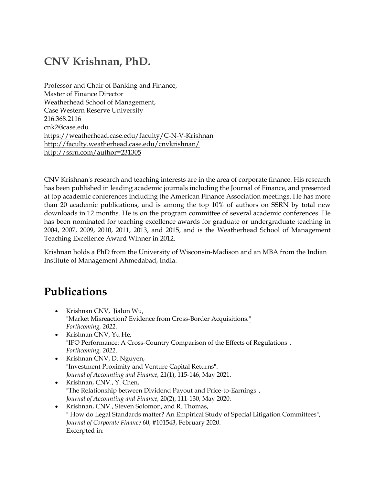### **CNV Krishnan, PhD.**

Professor and Chair of Banking and Finance, Master of Finance Director Weatherhead School of Management, Case Western Reserve University 216.368.2116 cnk2@case.edu https://weatherhead.case.edu/faculty/C-N-V-Krishnan http://faculty.weatherhead.case.edu/cnvkrishnan/ http://ssrn.com/author=231305

CNV Krishnan's research and teaching interests are in the area of corporate finance. His research has been published in leading academic journals including the Journal of Finance, and presented at top academic conferences including the American Finance Association meetings. He has more than 20 academic publications, and is among the top 10% of authors on SSRN by total new downloads in 12 months. He is on the program committee of several academic conferences. He has been nominated for teaching excellence awards for graduate or undergraduate teaching in 2004, 2007, 2009, 2010, 2011, 2013, and 2015, and is the Weatherhead School of Management Teaching Excellence Award Winner in 2012.

Krishnan holds a PhD from the University of Wisconsin-Madison and an MBA from the Indian Institute of Management Ahmedabad, India.

### **Publications**

- Krishnan CNV, Jialun Wu, "Market Misreaction? Evidence from Cross-Border Acquisitions." *Forthcoming, 2022.*
- Krishnan CNV, Yu He, "IPO Performance: A Cross-Country Comparison of the Effects of Regulations". *Forthcoming, 2022*.
- Krishnan CNV, D. Nguyen, "Investment Proximity and Venture Capital Returns". *Journal of Accounting and Finance*, 21(1), 115-146, May 2021.
- Krishnan, CNV., Y. Chen, "The Relationship between Dividend Payout and Price-to-Earnings", *Journal of Accounting and Finance*, 20(2), 111-130, May 2020.
- Krishnan, CNV., Steven Solomon, and R. Thomas, " How do Legal Standards matter? An Empirical Study of Special Litigation Committees", *Journal of Corporate Finance* 60, #101543, February 2020. Excerpted in: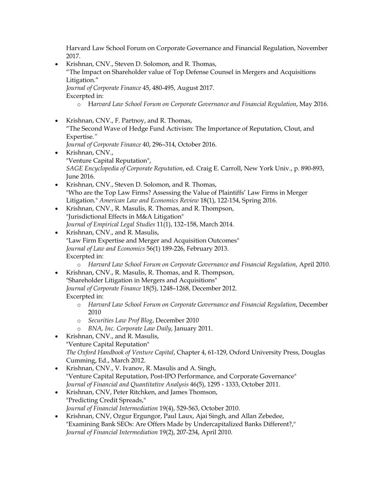Harvard Law School Forum on Corporate Governance and Financial Regulation, November 2017.

- Krishnan, CNV., Steven D. Solomon, and R. Thomas, "The Impact on Shareholder value of Top Defense Counsel in Mergers and Acquisitions Litigation." *Journal of Corporate Finance* 45, 480-495, August 2017. Excerpted in: o H*arvard Law School Forum on Corporate Governance and Financial Regulation*, May 2016.
- Krishnan, CNV., F. Partnoy, and R. Thomas, "The Second Wave of Hedge Fund Activism: The Importance of Reputation, Clout, and Expertise*." Journal of Corporate Finance* 40, 296–314, October 2016.
- Krishnan, CNV., "Venture Capital Reputation", *SAGE Encyclopedia of Corporate Reputation*, ed. Craig E. Carroll, New York Univ., p. 890-893, June 2016.
- Krishnan, CNV., Steven D. Solomon, and R. Thomas, "Who are the Top Law Firms? Assessing the Value of Plaintiffs' Law Firms in Merger Litigation." *American Law and Economics Review* 18(1), 122-154, Spring 2016.
- Krishnan, CNV., R. Masulis, R. Thomas, and R. Thompson, "Jurisdictional Effects in M&A Litigation" *Journal of Empirical Legal Studies* 11(1), 132–158, March 2014.
- Krishnan, CNV., and R. Masulis, "Law Firm Expertise and Merger and Acquisition Outcomes" *Journal of Law and Economics* 56(1) 189-226, February 2013. Excerpted in:
	- o *Harvard Law School Forum on Corporate Governance and Financial Regulation*, April 2010.
- Krishnan, CNV., R. Masulis, R. Thomas, and R. Thompson, "Shareholder Litigation in Mergers and Acquisitions" *Journal of Corporate Finance* 18(5), 1248–1268, December 2012. Excerpted in:
	- o *Harvard Law School Forum on Corporate Governance and Financial Regulation*, December 2010
	- o *Securities Law Prof Blog*, December 2010
	- o *BNA, Inc. Corporate Law Daily*, January 2011.
- Krishnan, CNV., and R. Masulis, "Venture Capital Reputation" *The Oxford Handbook of Venture Capital*, Chapter 4, 61-129, Oxford University Press, Douglas Cumming, Ed., March 2012.
- Krishnan, CNV., V. Ivanov, R. Masulis and A. Singh, "Venture Capital Reputation, Post-IPO Performance, and Corporate Governance" *Journal of Financial and Quantitative Analysis* 46(5), 1295 - 1333, October 2011.
- Krishnan, CNV, Peter Ritchken, and James Thomson, "Predicting Credit Spreads," *Journal of Financial Intermediation* 19(4), 529-563, October 2010.
- Krishnan, CNV, Ozgur Ergungor, Paul Laux, Ajai Singh, and Allan Zebedee, "Examining Bank SEOs: Are Offers Made by Undercapitalized Banks Different?," *Journal of Financial Intermediation* 19(2), 207-234, April 2010.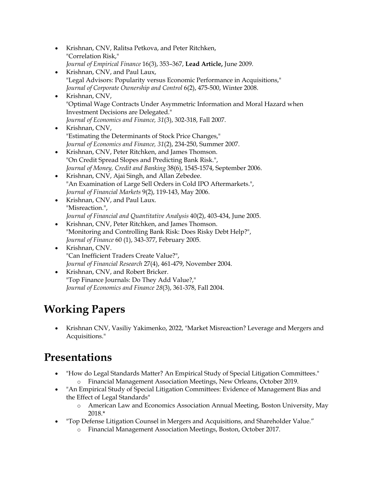- Krishnan, CNV, Ralitsa Petkova, and Peter Ritchken, "Correlation Risk," *Journal of Empirical Finance* 16(3), 353–367, **Lead Article,** June 2009.
- Krishnan, CNV, and Paul Laux, "Legal Advisors: Popularity versus Economic Performance in Acquisitions," *Journal of Corporate Ownership and Control* 6(2), 475-500, Winter 2008.
- Krishnan, CNV, "Optimal Wage Contracts Under Asymmetric Information and Moral Hazard when Investment Decisions are Delegated." *Journal of Economics and Finance, 31*(3), 302-318, Fall 2007.
- Krishnan, CNV, "Estimating the Determinants of Stock Price Changes," *Journal of Economics and Finance, 31*(2), 234-250, Summer 2007.
- Krishnan, CNV, Peter Ritchken, and James Thomson. "On Credit Spread Slopes and Predicting Bank Risk.", *Journal of Money, Credit and Banking* 38(6), 1545-1574, September 2006.
- Krishnan, CNV, Ajai Singh, and Allan Zebedee. "An Examination of Large Sell Orders in Cold IPO Aftermarkets.", *Journal of Financial Markets* 9(2), 119-143, May 2006.
- Krishnan, CNV, and Paul Laux. "Misreaction.", *Journal of Financial and Quantitative Analysis* 40(2), 403-434, June 2005.
- Krishnan, CNV, Peter Ritchken, and James Thomson. "Monitoring and Controlling Bank Risk: Does Risky Debt Help?", *Journal of Finance* 60 (1), 343-377, February 2005.
- Krishnan, CNV. "Can Inefficient Traders Create Value?", *Journal of Financial Research* 27(4), 461-479, November 2004.
- Krishnan, CNV, and Robert Bricker. "Top Finance Journals: Do They Add Value?," *Journal of Economics and Finance 28*(3), 361-378, Fall 2004.

# **Working Papers**

 Krishnan CNV, Vasiliy Yakimenko, 2022, "Market Misreaction? Leverage and Mergers and Acquisitions."

## **Presentations**

- "How do Legal Standards Matter? An Empirical Study of Special Litigation Committees." o Financial Management Association Meetings, New Orleans, October 2019.
- "An Empirical Study of Special Litigation Committees: Evidence of Management Bias and the Effect of Legal Standards"
	- o American Law and Economics Association Annual Meeting, Boston University, May 2018.\*
	- "Top Defense Litigation Counsel in Mergers and Acquisitions, and Shareholder Value."
		- o Financial Management Association Meetings, Boston, October 2017.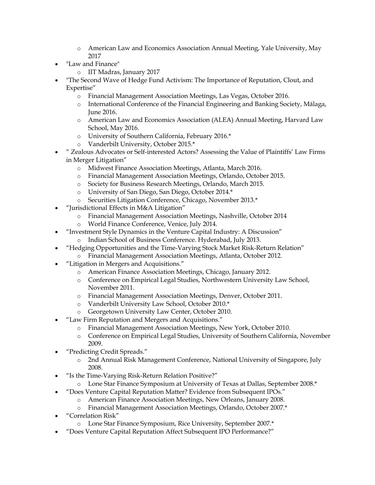- o American Law and Economics Association Annual Meeting, Yale University, May 2017
- "Law and Finance"
	- o IIT Madras, January 2017
- "The Second Wave of Hedge Fund Activism: The Importance of Reputation, Clout, and Expertise"
	- o Financial Management Association Meetings, Las Vegas, October 2016.
	- o International Conference of the Financial Engineering and Banking Society, Málaga, June 2016.
	- o American Law and Economics Association (ALEA) Annual Meeting, Harvard Law School, May 2016.
	- o University of Southern California, February 2016.\*
	- o Vanderbilt University, October 2015.\*
- " Zealous Advocates or Self-interested Actors? Assessing the Value of Plaintiffs' Law Firms in Merger Litigation"
	- o Midwest Finance Association Meetings, Atlanta, March 2016.
	- o Financial Management Association Meetings, Orlando, October 2015.
	- o Society for Business Research Meetings, Orlando, March 2015.
	- o University of San Diego, San Diego, October 2014.\*
	- o Securities Litigation Conference, Chicago, November 2013.\*
- "Jurisdictional Effects in M&A Litigation"
	- o Financial Management Association Meetings, Nashville, October 2014
	- o World Finance Conference, Venice, July 2014.
- "Investment Style Dynamics in the Venture Capital Industry: A Discussion"
	- o Indian School of Business Conference. Hyderabad, July 2013.
- "Hedging Opportunities and the Time-Varying Stock Market Risk-Return Relation"
	- o Financial Management Association Meetings, Atlanta, October 2012.
- "Litigation in Mergers and Acquisitions."
	- o American Finance Association Meetings, Chicago, January 2012.
	- o Conference on Empirical Legal Studies, Northwestern University Law School, November 2011.
	- o Financial Management Association Meetings, Denver, October 2011.
	- o Vanderbilt University Law School, October 2010.\*
	- o Georgetown University Law Center, October 2010.
- "Law Firm Reputation and Mergers and Acquisitions."
	- o Financial Management Association Meetings, New York, October 2010.
	- o Conference on Empirical Legal Studies, University of Southern California, November 2009.
- "Predicting Credit Spreads."
	- o 2nd Annual Risk Management Conference, National University of Singapore, July 2008.
- "Is the Time-Varying Risk-Return Relation Positive?"
	- o Lone Star Finance Symposium at University of Texas at Dallas, September 2008.\*
- "Does Venture Capital Reputation Matter? Evidence from Subsequent IPOs."
	- o American Finance Association Meetings, New Orleans, January 2008.
	- o Financial Management Association Meetings, Orlando, October 2007.\*
- "Correlation Risk"
	- o Lone Star Finance Symposium, Rice University, September 2007.\*
- "Does Venture Capital Reputation Affect Subsequent IPO Performance?"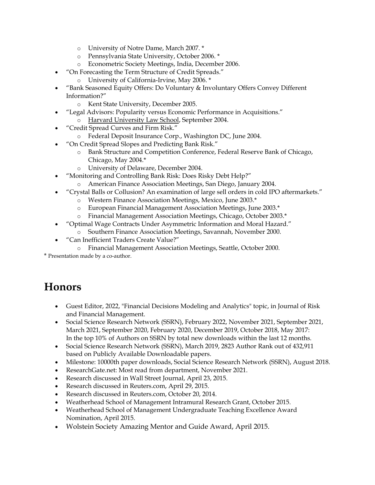- o University of Notre Dame, March 2007. \*
- o Pennsylvania State University, October 2006. \*
- o Econometric Society Meetings, India, December 2006.
- "On Forecasting the Term Structure of Credit Spreads."
	- o University of California-Irvine, May 2006. \*
- "Bank Seasoned Equity Offers: Do Voluntary & Involuntary Offers Convey Different Information?"
	- o Kent State University, December 2005.
- "Legal Advisors: Popularity versus Economic Performance in Acquisitions." o Harvard University Law School, September 2004.
- "Credit Spread Curves and Firm Risk."
	- o Federal Deposit Insurance Corp., Washington DC, June 2004.
- "On Credit Spread Slopes and Predicting Bank Risk."
	- o Bank Structure and Competition Conference, Federal Reserve Bank of Chicago, Chicago, May 2004.\*
	- o University of Delaware, December 2004.
- "Monitoring and Controlling Bank Risk: Does Risky Debt Help?"
	- o American Finance Association Meetings, San Diego, January 2004.
- "Crystal Balls or Collusion? An examination of large sell orders in cold IPO aftermarkets."
	- o Western Finance Association Meetings, Mexico, June 2003.\*
	- o European Financial Management Association Meetings, June 2003.\*
	- o Financial Management Association Meetings, Chicago, October 2003.\*
- "Optimal Wage Contracts Under Asymmetric Information and Moral Hazard."
	- Southern Finance Association Meetings, Savannah, November 2000.
		- "Can Inefficient Traders Create Value?"
			- o Financial Management Association Meetings, Seattle, October 2000.

\* Presentation made by a co-author.

### **Honors**

- Guest Editor, 2022, "Financial Decisions Modeling and Analytics" topic, in Journal of Risk and Financial Management.
- Social Science Research Network (SSRN), February 2022, November 2021, September 2021, March 2021, September 2020, February 2020, December 2019, October 2018, May 2017: In the top 10% of Authors on SSRN by total new downloads within the last 12 months.
- Social Science Research Network (SSRN), March 2019, 2823 Author Rank out of 432,911 based on Publicly Available Downloadable papers.
- Milestone: 10000th paper downloads, Social Science Research Network (SSRN), August 2018.
- ResearchGate.net: Most read from department, November 2021.
- Research discussed in Wall Street Journal, April 23, 2015.
- Research discussed in Reuters.com, April 29, 2015.
- Research discussed in Reuters.com, October 20, 2014.
- Weatherhead School of Management Intramural Research Grant, October 2015.
- Weatherhead School of Management Undergraduate Teaching Excellence Award Nomination, April 2015.
- Wolstein Society Amazing Mentor and Guide Award, April 2015.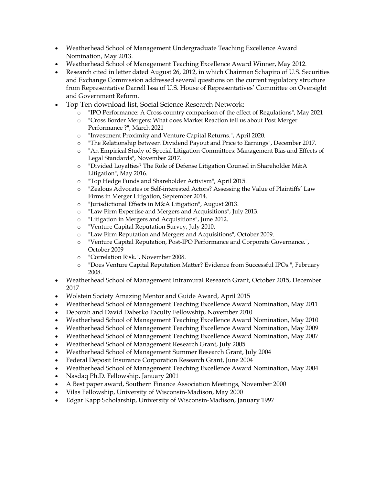- Weatherhead School of Management Undergraduate Teaching Excellence Award Nomination, May 2013.
- Weatherhead School of Management Teaching Excellence Award Winner, May 2012.
- Research cited in letter dated August 26, 2012, in which Chairman Schapiro of U.S. Securities and Exchange Commission addressed several questions on the current regulatory structure from Representative Darrell Issa of U.S. House of Representatives' Committee on Oversight and Government Reform.
- Top Ten download list, Social Science Research Network:
	- o "IPO Performance: A Cross country comparison of the effect of Regulations", May 2021
	- o "Cross Border Mergers: What does Market Reaction tell us about Post Merger Performance ?", March 2021
	- o "Investment Proximity and Venture Capital Returns.", April 2020.
	- o "The Relationship between Dividend Payout and Price to Earnings", December 2017.
	- o "An Empirical Study of Special Litigation Committees: Management Bias and Effects of Legal Standards", November 2017.
	- o "Divided Loyalties? The Role of Defense Litigation Counsel in Shareholder M&A Litigation", May 2016.
	- o "Top Hedge Funds and Shareholder Activism", April 2015.
	- o "Zealous Advocates or Self-interested Actors? Assessing the Value of Plaintiffs' Law Firms in Merger Litigation, September 2014.
	- o "Jurisdictional Effects in M&A Litigation", August 2013.
	- o "Law Firm Expertise and Mergers and Acquisitions", July 2013.
	- o "Litigation in Mergers and Acquisitions", June 2012.
	- o "Venture Capital Reputation Survey, July 2010.
	- o "Law Firm Reputation and Mergers and Acquisitions", October 2009.
	- o "Venture Capital Reputation, Post-IPO Performance and Corporate Governance.", October 2009
	- o "Correlation Risk.", November 2008.
	- o "Does Venture Capital Reputation Matter? Evidence from Successful IPOs.", February 2008.
- Weatherhead School of Management Intramural Research Grant, October 2015, December 2017
- Wolstein Society Amazing Mentor and Guide Award, April 2015
- Weatherhead School of Management Teaching Excellence Award Nomination, May 2011
- Deborah and David Daberko Faculty Fellowship, November 2010
- Weatherhead School of Management Teaching Excellence Award Nomination, May 2010
- Weatherhead School of Management Teaching Excellence Award Nomination, May 2009
- Weatherhead School of Management Teaching Excellence Award Nomination, May 2007
- Weatherhead School of Management Research Grant, July 2005
- Weatherhead School of Management Summer Research Grant, July 2004
- Federal Deposit Insurance Corporation Research Grant, June 2004
- Weatherhead School of Management Teaching Excellence Award Nomination, May 2004
- Nasdaq Ph.D. Fellowship, January 2001
- A Best paper award, Southern Finance Association Meetings, November 2000
- Vilas Fellowship, University of Wisconsin-Madison, May 2000
- Edgar Kapp Scholarship, University of Wisconsin-Madison, January 1997